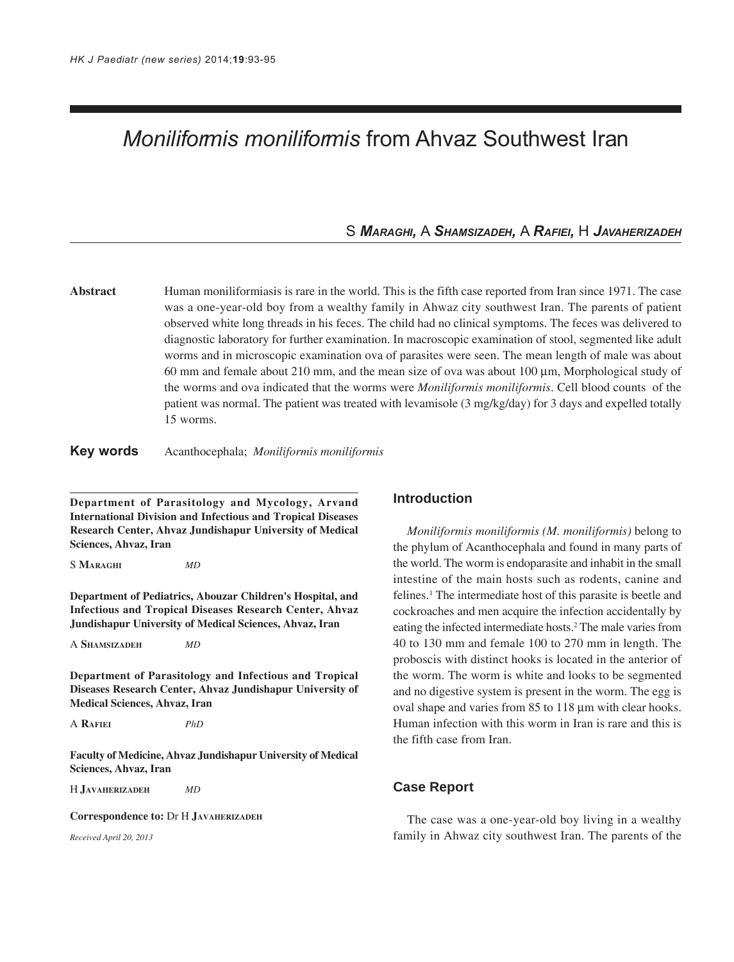# *Moniliformis moniliformis* from Ahvaz Southwest Iran

S *MARAGHI,* A *SHAMSIZADEH,* A *RAFIEI,* H *JAVAHERIZADEH*

**Abstract** Human moniliformiasis is rare in the world. This is the fifth case reported from Iran since 1971. The case was a one-year-old boy from a wealthy family in Ahwaz city southwest Iran. The parents of patient observed white long threads in his feces. The child had no clinical symptoms. The feces was delivered to diagnostic laboratory for further examination. In macroscopic examination of stool, segmented like adult worms and in microscopic examination ova of parasites were seen. The mean length of male was about 60 mm and female about 210 mm, and the mean size of ova was about 100 µm, Morphological study of the worms and ova indicated that the worms were *Moniliformis moniliformis*. Cell blood counts of the patient was normal. The patient was treated with levamisole (3 mg/kg/day) for 3 days and expelled totally 15 worms.

#### **Key words** Acanthocephala; *Moniliformis moniliformis*

**Department of Parasitology and Mycology, Arvand International Division and Infectious and Tropical Diseases Research Center, Ahvaz Jundishapur University of Medical Sciences, Ahvaz, Iran**

S **MARAGHI** *MD*

**Department of Pediatrics, Abouzar Children's Hospital, and Infectious and Tropical Diseases Research Center, Ahvaz Jundishapur University of Medical Sciences, Ahvaz, Iran**

A **SHAMSIZADEH** *MD*

**Department of Parasitology and Infectious and Tropical Diseases Research Center, Ahvaz Jundishapur University of Medical Sciences, Ahvaz, Iran**

A **RAFIEI** *PhD*

**Faculty of Medicine, Ahvaz Jundishapur University of Medical Sciences, Ahvaz, Iran**

H **JAVAHERIZADEH** *MD*

**Correspondence to:** Dr H **JAVAHERIZADEH**

*Received April 20, 2013*

#### **Introduction**

*Moniliformis moniliformis (M. moniliformis)* belong to the phylum of Acanthocephala and found in many parts of the world. The worm is endoparasite and inhabit in the small intestine of the main hosts such as rodents, canine and felines.<sup>1</sup> The intermediate host of this parasite is beetle and cockroaches and men acquire the infection accidentally by eating the infected intermediate hosts.<sup>2</sup> The male varies from 40 to 130 mm and female 100 to 270 mm in length. The proboscis with distinct hooks is located in the anterior of the worm. The worm is white and looks to be segmented and no digestive system is present in the worm. The egg is oval shape and varies from 85 to 118 µm with clear hooks. Human infection with this worm in Iran is rare and this is the fifth case from Iran.

#### **Case Report**

The case was a one-year-old boy living in a wealthy family in Ahwaz city southwest Iran. The parents of the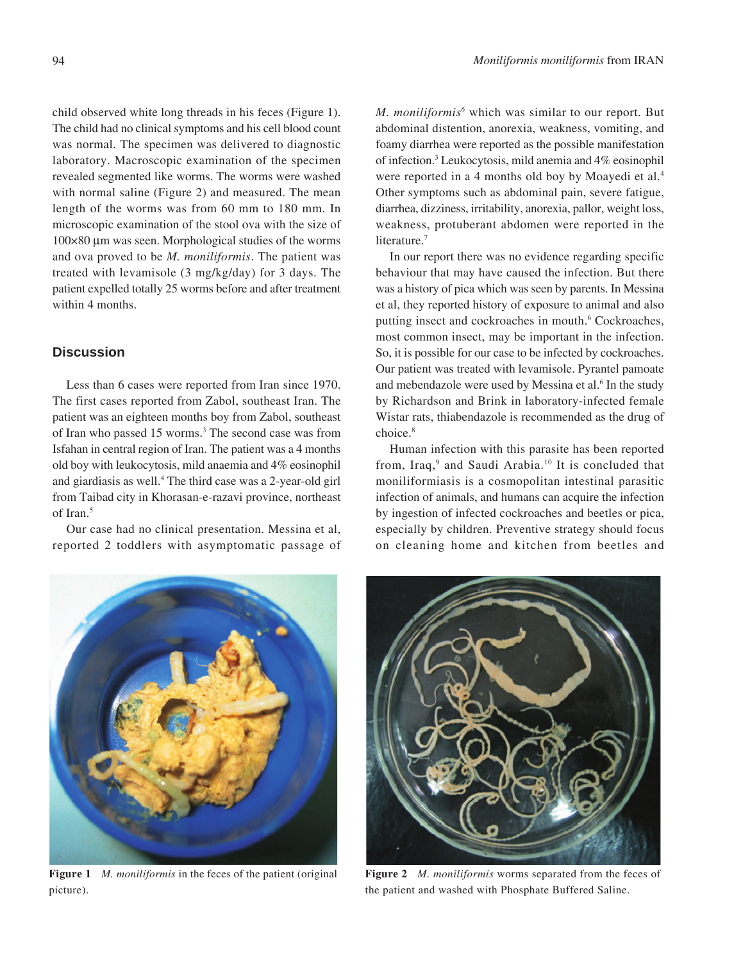child observed white long threads in his feces (Figure 1). The child had no clinical symptoms and his cell blood count was normal. The specimen was delivered to diagnostic laboratory. Macroscopic examination of the specimen revealed segmented like worms. The worms were washed with normal saline (Figure 2) and measured. The mean length of the worms was from 60 mm to 180 mm. In microscopic examination of the stool ova with the size of 100×80 µm was seen. Morphological studies of the worms and ova proved to be *M. moniliformis*. The patient was treated with levamisole (3 mg/kg/day) for 3 days. The patient expelled totally 25 worms before and after treatment within 4 months.

### **Discussion**

Less than 6 cases were reported from Iran since 1970. The first cases reported from Zabol, southeast Iran. The patient was an eighteen months boy from Zabol, southeast of Iran who passed 15 worms.3 The second case was from Isfahan in central region of Iran. The patient was a 4 months old boy with leukocytosis, mild anaemia and 4% eosinophil and giardiasis as well.4 The third case was a 2-year-old girl from Taibad city in Khorasan-e-razavi province, northeast of Iran.<sup>5</sup>

Our case had no clinical presentation. Messina et al, reported 2 toddlers with asymptomatic passage of *M. moniliformis6* which was similar to our report. But abdominal distention, anorexia, weakness, vomiting, and foamy diarrhea were reported as the possible manifestation of infection.3 Leukocytosis, mild anemia and 4% eosinophil were reported in a 4 months old boy by Moayedi et al.<sup>4</sup> Other symptoms such as abdominal pain, severe fatigue, diarrhea, dizziness, irritability, anorexia, pallor, weight loss, weakness, protuberant abdomen were reported in the literature.<sup>7</sup>

In our report there was no evidence regarding specific behaviour that may have caused the infection. But there was a history of pica which was seen by parents. In Messina et al, they reported history of exposure to animal and also putting insect and cockroaches in mouth.<sup>6</sup> Cockroaches, most common insect, may be important in the infection. So, it is possible for our case to be infected by cockroaches. Our patient was treated with levamisole. Pyrantel pamoate and mebendazole were used by Messina et al.<sup>6</sup> In the study by Richardson and Brink in laboratory-infected female Wistar rats, thiabendazole is recommended as the drug of choice.8

Human infection with this parasite has been reported from, Iraq,<sup>9</sup> and Saudi Arabia.<sup>10</sup> It is concluded that moniliformiasis is a cosmopolitan intestinal parasitic infection of animals, and humans can acquire the infection by ingestion of infected cockroaches and beetles or pica, especially by children. Preventive strategy should focus on cleaning home and kitchen from beetles and



**Figure 1** *M. moniliformis* in the feces of the patient (original picture).



**Figure 2** *M. moniliformis* worms separated from the feces of the patient and washed with Phosphate Buffered Saline.